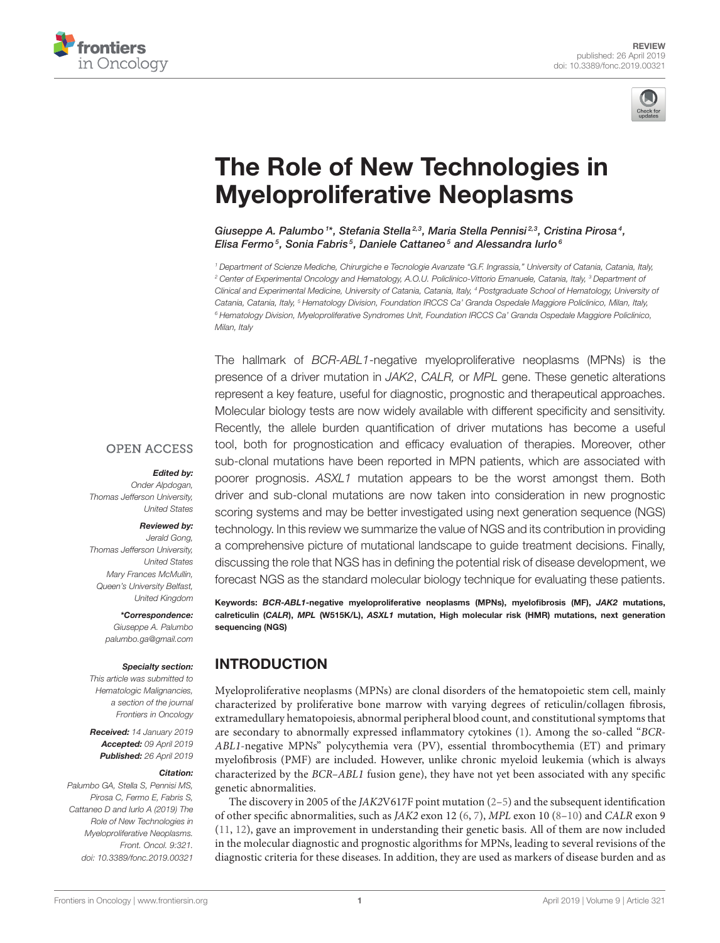



# [The Role of New Technologies in](https://www.frontiersin.org/articles/10.3389/fonc.2019.00321/full) Myeloproliferative Neoplasms

[Giuseppe A. Palumbo](http://loop.frontiersin.org/people/381082/overview) <sup>1\*</sup>, [Stefania Stella](http://loop.frontiersin.org/people/260279/overview)<sup>2,3</sup>, [Maria Stella Pennisi](http://loop.frontiersin.org/people/260281/overview)<sup>2,3</sup>, Cristina Pirosa<sup>4</sup>, [Elisa Fermo](http://loop.frontiersin.org/people/526690/overview) $^5$ , Sonia Fabris $^5$ , [Daniele Cattaneo](http://loop.frontiersin.org/people/565303/overview) $^5$  and [Alessandra Iurlo](http://loop.frontiersin.org/people/266834/overview) $^6$ 

*<sup>1</sup> Department of Scienze Mediche, Chirurgiche e Tecnologie Avanzate "G.F. Ingrassia," University of Catania, Catania, Italy, <sup>2</sup> Center of Experimental Oncology and Hematology, A.O.U. Policlinico-Vittorio Emanuele, Catania, Italy, <sup>3</sup> Department of Clinical and Experimental Medicine, University of Catania, Catania, Italy, <sup>4</sup> Postgraduate School of Hematology, University of Catania, Catania, Italy, <sup>5</sup> Hematology Division, Foundation IRCCS Ca' Granda Ospedale Maggiore Policlinico, Milan, Italy, <sup>6</sup> Hematology Division, Myeloproliferative Syndromes Unit, Foundation IRCCS Ca' Granda Ospedale Maggiore Policlinico, Milan, Italy*

The hallmark of *BCR-ABL1*-negative myeloproliferative neoplasms (MPNs) is the presence of a driver mutation in *JAK2*, *CALR,* or *MPL* gene. These genetic alterations represent a key feature, useful for diagnostic, prognostic and therapeutical approaches. Molecular biology tests are now widely available with different specificity and sensitivity. Recently, the allele burden quantification of driver mutations has become a useful tool, both for prognostication and efficacy evaluation of therapies. Moreover, other sub-clonal mutations have been reported in MPN patients, which are associated with poorer prognosis. *ASXL1* mutation appears to be the worst amongst them. Both driver and sub-clonal mutations are now taken into consideration in new prognostic scoring systems and may be better investigated using next generation sequence (NGS) technology. In this review we summarize the value of NGS and its contribution in providing a comprehensive picture of mutational landscape to guide treatment decisions. Finally, discussing the role that NGS has in defining the potential risk of disease development, we forecast NGS as the standard molecular biology technique for evaluating these patients.

Keywords: BCR-ABL1-negative myeloproliferative neoplasms (MPNs), myelofibrosis (MF), JAK2 mutations, calreticulin (CALR), MPL (W515K/L), ASXL1 mutation, High molecular risk (HMR) mutations, next generation sequencing (NGS)

# INTRODUCTION

Myeloproliferative neoplasms (MPNs) are clonal disorders of the hematopoietic stem cell, mainly characterized by proliferative bone marrow with varying degrees of reticulin/collagen fibrosis, extramedullary hematopoiesis, abnormal peripheral blood count, and constitutional symptoms that are secondary to abnormally expressed inflammatory cytokines [\(1\)](#page-6-0). Among the so-called "BCR-ABL1-negative MPNs" polycythemia vera (PV), essential thrombocythemia (ET) and primary myelofibrosis (PMF) are included. However, unlike chronic myeloid leukemia (which is always characterized by the BCR–ABL1 fusion gene), they have not yet been associated with any specific genetic abnormalities.

The discovery in 2005 of the *JAK2V617F* point mutation  $(2-5)$  $(2-5)$  and the subsequent identification of other specific abnormalities, such as JAK2 exon 12 [\(6,](#page-6-3) [7\)](#page-6-4), MPL exon 10 [\(8](#page-6-5)[–10\)](#page-6-6) and CALR exon 9 [\(11,](#page-6-7) [12\)](#page-6-8), gave an improvement in understanding their genetic basis. All of them are now included in the molecular diagnostic and prognostic algorithms for MPNs, leading to several revisions of the diagnostic criteria for these diseases. In addition, they are used as markers of disease burden and as

# **OPEN ACCESS**

## Edited by:

*Onder Alpdogan, Thomas Jefferson University, United States*

## Reviewed by:

*Jerald Gong, Thomas Jefferson University, United States Mary Frances McMullin, Queen's University Belfast, United Kingdom*

#### \*Correspondence:

*Giuseppe A. Palumbo [palumbo.ga@gmail.com](mailto:palumbo.ga@gmail.com)*

### Specialty section:

*This article was submitted to Hematologic Malignancies, a section of the journal Frontiers in Oncology*

Received: *14 January 2019* Accepted: *09 April 2019* Published: *26 April 2019*

#### Citation:

*Palumbo GA, Stella S, Pennisi MS, Pirosa C, Fermo E, Fabris S, Cattaneo D and Iurlo A (2019) The Role of New Technologies in Myeloproliferative Neoplasms. Front. Oncol. 9:321. doi: [10.3389/fonc.2019.00321](https://doi.org/10.3389/fonc.2019.00321)*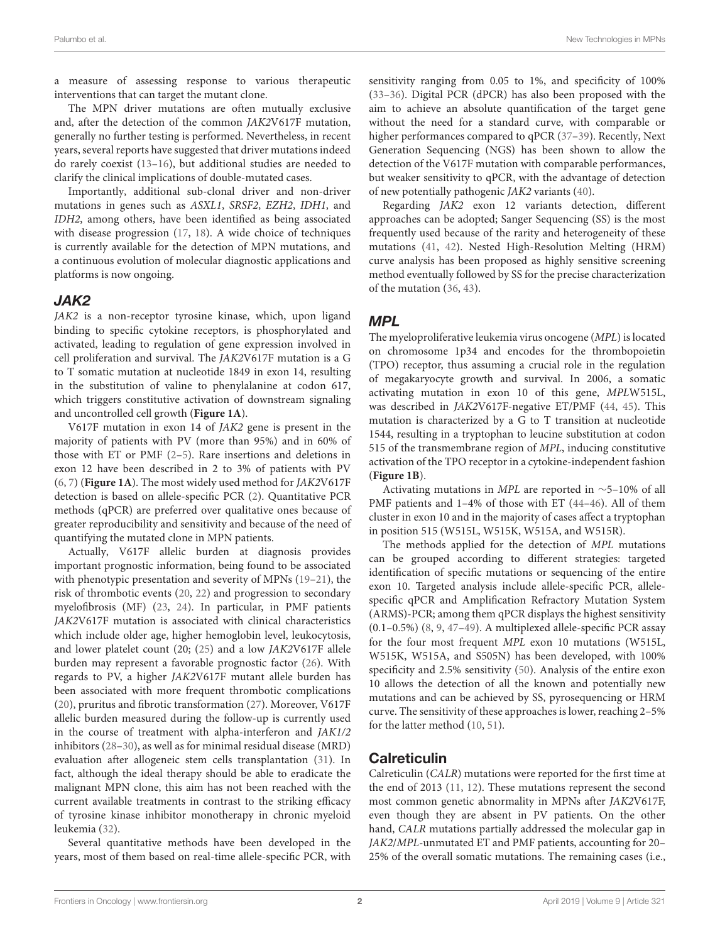a measure of assessing response to various therapeutic interventions that can target the mutant clone.

The MPN driver mutations are often mutually exclusive and, after the detection of the common JAK2V617F mutation, generally no further testing is performed. Nevertheless, in recent years, several reports have suggested that driver mutationsindeed do rarely coexist [\(13](#page-6-9)[–16\)](#page-6-10), but additional studies are needed to clarify the clinical implications of double-mutated cases.

Importantly, additional sub-clonal driver and non-driver mutations in genes such as ASXL1, SRSF2, EZH2, IDH1, and IDH2, among others, have been identified as being associated with disease progression [\(17,](#page-6-11) [18\)](#page-6-12). A wide choice of techniques is currently available for the detection of MPN mutations, and a continuous evolution of molecular diagnostic applications and platforms is now ongoing.

## JAK2

JAK2 is a non-receptor tyrosine kinase, which, upon ligand binding to specific cytokine receptors, is phosphorylated and activated, leading to regulation of gene expression involved in cell proliferation and survival. The JAK2V617F mutation is a G to T somatic mutation at nucleotide 1849 in exon 14, resulting in the substitution of valine to phenylalanine at codon 617, which triggers constitutive activation of downstream signaling and uncontrolled cell growth (**[Figure 1A](#page-2-0)**).

V617F mutation in exon 14 of JAK2 gene is present in the majority of patients with PV (more than 95%) and in 60% of those with ET or PMF [\(2–](#page-6-1)[5\)](#page-6-2). Rare insertions and deletions in exon 12 have been described in 2 to 3% of patients with PV [\(6,](#page-6-3) [7\)](#page-6-4) (**[Figure 1A](#page-2-0)**). The most widely used method for JAK2V617F detection is based on allele-specific PCR [\(2\)](#page-6-1). Quantitative PCR methods (qPCR) are preferred over qualitative ones because of greater reproducibility and sensitivity and because of the need of quantifying the mutated clone in MPN patients.

Actually, V617F allelic burden at diagnosis provides important prognostic information, being found to be associated with phenotypic presentation and severity of MPNs [\(19](#page-6-13)[–21\)](#page-7-0), the risk of thrombotic events [\(20,](#page-7-1) [22\)](#page-7-2) and progression to secondary myelofibrosis (MF) [\(23,](#page-7-3) [24\)](#page-7-4). In particular, in PMF patients JAK2V617F mutation is associated with clinical characteristics which include older age, higher hemoglobin level, leukocytosis, and lower platelet count (20; [\(25\)](#page-7-5) and a low JAK2V617F allele burden may represent a favorable prognostic factor [\(26\)](#page-7-6). With regards to PV, a higher JAK2V617F mutant allele burden has been associated with more frequent thrombotic complications [\(20\)](#page-7-1), pruritus and fibrotic transformation [\(27\)](#page-7-7). Moreover, V617F allelic burden measured during the follow-up is currently used in the course of treatment with alpha-interferon and JAK1/2 inhibitors [\(28](#page-7-8)[–30\)](#page-7-9), as well as for minimal residual disease (MRD) evaluation after allogeneic stem cells transplantation [\(31\)](#page-7-10). In fact, although the ideal therapy should be able to eradicate the malignant MPN clone, this aim has not been reached with the current available treatments in contrast to the striking efficacy of tyrosine kinase inhibitor monotherapy in chronic myeloid leukemia [\(32\)](#page-7-11).

Several quantitative methods have been developed in the years, most of them based on real-time allele-specific PCR, with sensitivity ranging from 0.05 to 1%, and specificity of 100% [\(33](#page-7-12)[–36\)](#page-7-13). Digital PCR (dPCR) has also been proposed with the aim to achieve an absolute quantification of the target gene without the need for a standard curve, with comparable or higher performances compared to qPCR [\(37](#page-7-14)[–39\)](#page-7-15). Recently, Next Generation Sequencing (NGS) has been shown to allow the detection of the V617F mutation with comparable performances, but weaker sensitivity to qPCR, with the advantage of detection of new potentially pathogenic JAK2 variants [\(40\)](#page-7-16).

Regarding JAK2 exon 12 variants detection, different approaches can be adopted; Sanger Sequencing (SS) is the most frequently used because of the rarity and heterogeneity of these mutations [\(41,](#page-7-17) [42\)](#page-7-18). Nested High-Resolution Melting (HRM) curve analysis has been proposed as highly sensitive screening method eventually followed by SS for the precise characterization of the mutation [\(36,](#page-7-13) [43\)](#page-7-19).

# MPL

The myeloproliferative leukemia virus oncogene (MPL) is located on chromosome 1p34 and encodes for the thrombopoietin (TPO) receptor, thus assuming a crucial role in the regulation of megakaryocyte growth and survival. In 2006, a somatic activating mutation in exon 10 of this gene, MPLW515L, was described in JAK2V617F-negative ET/PMF [\(44,](#page-7-20) [45\)](#page-7-21). This mutation is characterized by a G to T transition at nucleotide 1544, resulting in a tryptophan to leucine substitution at codon 515 of the transmembrane region of MPL, inducing constitutive activation of the TPO receptor in a cytokine-independent fashion (**[Figure 1B](#page-2-0)**).

Activating mutations in MPL are reported in ∼5–10% of all PMF patients and 1–4% of those with ET [\(44–](#page-7-20)[46\)](#page-7-22). All of them cluster in exon 10 and in the majority of cases affect a tryptophan in position 515 (W515L, W515K, W515A, and W515R).

The methods applied for the detection of MPL mutations can be grouped according to different strategies: targeted identification of specific mutations or sequencing of the entire exon 10. Targeted analysis include allele-specific PCR, allelespecific qPCR and Amplification Refractory Mutation System (ARMS)-PCR; among them qPCR displays the highest sensitivity (0.1–0.5%) [\(8,](#page-6-5) [9,](#page-6-14) [47](#page-7-23)[–49\)](#page-7-24). A multiplexed allele-specific PCR assay for the four most frequent MPL exon 10 mutations (W515L, W515K, W515A, and S505N) has been developed, with 100% specificity and 2.5% sensitivity [\(50\)](#page-7-25). Analysis of the entire exon 10 allows the detection of all the known and potentially new mutations and can be achieved by SS, pyrosequencing or HRM curve. The sensitivity of these approaches is lower, reaching 2–5% for the latter method [\(10,](#page-6-6) [51\)](#page-7-26).

# **Calreticulin**

Calreticulin (CALR) mutations were reported for the first time at the end of 2013 [\(11,](#page-6-7) [12\)](#page-6-8). These mutations represent the second most common genetic abnormality in MPNs after JAK2V617F, even though they are absent in PV patients. On the other hand, CALR mutations partially addressed the molecular gap in JAK2/MPL-unmutated ET and PMF patients, accounting for 20– 25% of the overall somatic mutations. The remaining cases (i.e.,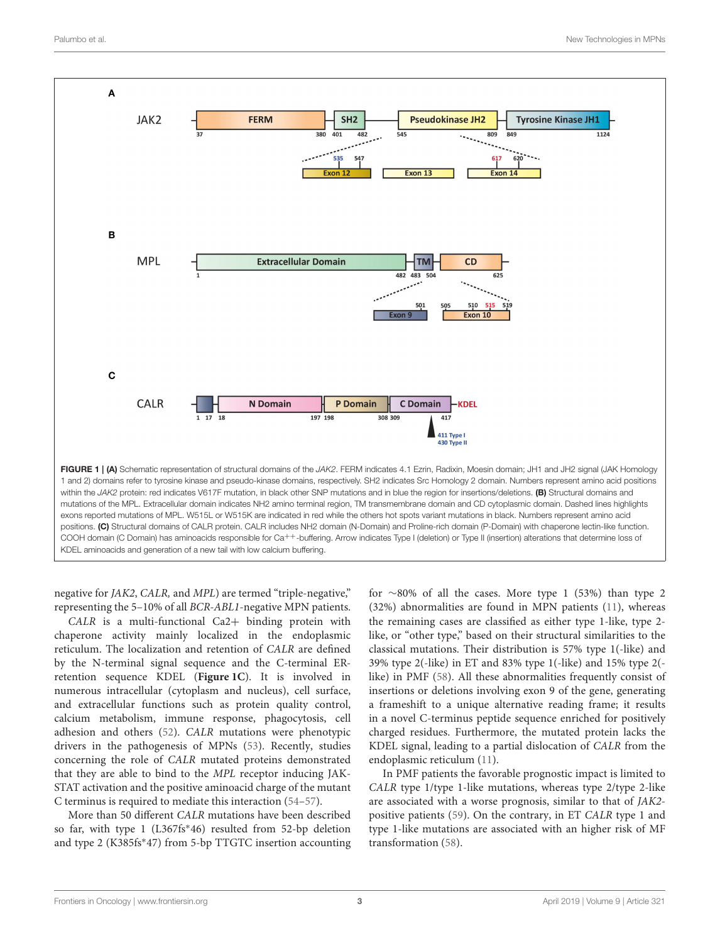

<span id="page-2-0"></span>negative for JAK2, CALR, and MPL) are termed "triple-negative," representing the 5–10% of all BCR-ABL1-negative MPN patients.

CALR is a multi-functional Ca2+ binding protein with chaperone activity mainly localized in the endoplasmic reticulum. The localization and retention of CALR are defined by the N-terminal signal sequence and the C-terminal ERretention sequence KDEL (**[Figure 1C](#page-2-0)**). It is involved in numerous intracellular (cytoplasm and nucleus), cell surface, and extracellular functions such as protein quality control, calcium metabolism, immune response, phagocytosis, cell adhesion and others [\(52\)](#page-7-27). CALR mutations were phenotypic drivers in the pathogenesis of MPNs [\(53\)](#page-8-0). Recently, studies concerning the role of CALR mutated proteins demonstrated that they are able to bind to the MPL receptor inducing JAK-STAT activation and the positive aminoacid charge of the mutant C terminus is required to mediate this interaction [\(54](#page-8-1)[–57\)](#page-8-2).

More than 50 different CALR mutations have been described so far, with type 1 (L367fs<sup>\*</sup>46) resulted from 52-bp deletion and type 2 (K385fs<sup>∗</sup> 47) from 5-bp TTGTC insertion accounting

for ∼80% of all the cases. More type 1 (53%) than type 2 (32%) abnormalities are found in MPN patients [\(11\)](#page-6-7), whereas the remaining cases are classified as either type 1-like, type 2 like, or "other type," based on their structural similarities to the classical mutations. Their distribution is 57% type 1(-like) and 39% type 2(-like) in ET and 83% type 1(-like) and 15% type 2( like) in PMF [\(58\)](#page-8-3). All these abnormalities frequently consist of insertions or deletions involving exon 9 of the gene, generating a frameshift to a unique alternative reading frame; it results in a novel C-terminus peptide sequence enriched for positively charged residues. Furthermore, the mutated protein lacks the KDEL signal, leading to a partial dislocation of CALR from the endoplasmic reticulum [\(11\)](#page-6-7).

In PMF patients the favorable prognostic impact is limited to CALR type 1/type 1-like mutations, whereas type 2/type 2-like are associated with a worse prognosis, similar to that of JAK2 positive patients [\(59\)](#page-8-4). On the contrary, in ET CALR type 1 and type 1-like mutations are associated with an higher risk of MF transformation [\(58\)](#page-8-3).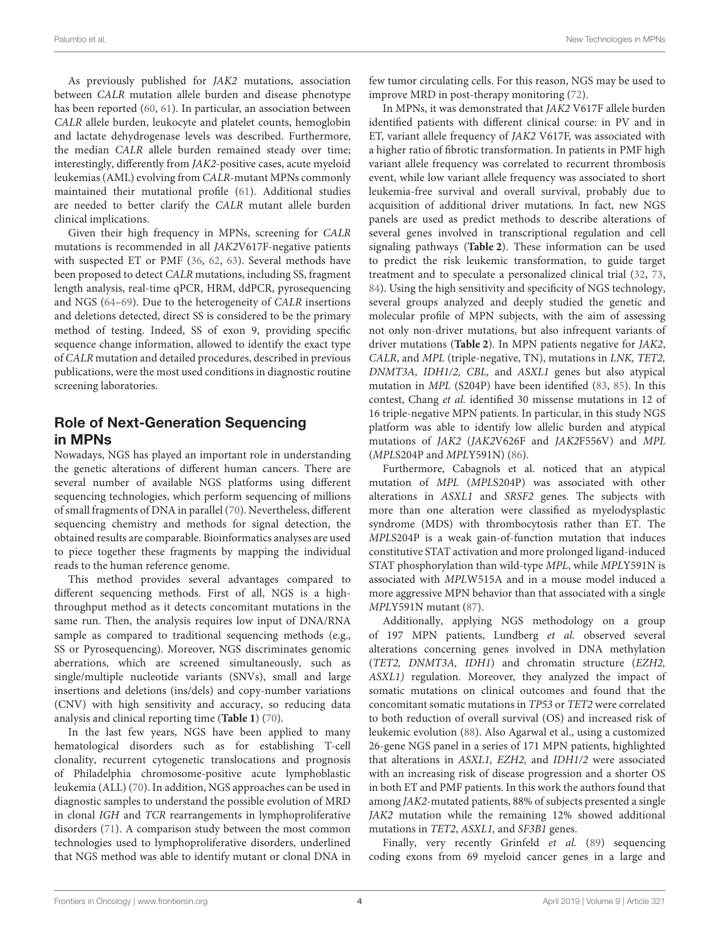As previously published for JAK2 mutations, association between CALR mutation allele burden and disease phenotype has been reported [\(60,](#page-8-5) [61\)](#page-8-6). In particular, an association between CALR allele burden, leukocyte and platelet counts, hemoglobin and lactate dehydrogenase levels was described. Furthermore, the median CALR allele burden remained steady over time; interestingly, differently from JAK2-positive cases, acute myeloid leukemias (AML) evolving from CALR-mutant MPNs commonly maintained their mutational profile [\(61\)](#page-8-6). Additional studies are needed to better clarify the CALR mutant allele burden clinical implications.

Given their high frequency in MPNs, screening for CALR mutations is recommended in all JAK2V617F-negative patients with suspected ET or PMF [\(36,](#page-7-13) [62,](#page-8-7) [63\)](#page-8-8). Several methods have been proposed to detect CALR mutations, including SS, fragment length analysis, real-time qPCR, HRM, ddPCR, pyrosequencing and NGS [\(64](#page-8-9)[–69\)](#page-8-10). Due to the heterogeneity of CALR insertions and deletions detected, direct SS is considered to be the primary method of testing. Indeed, SS of exon 9, providing specific sequence change information, allowed to identify the exact type of CALR mutation and detailed procedures, described in previous publications, were the most used conditions in diagnostic routine screening laboratories.

# Role of Next-Generation Sequencing in MPNs

Nowadays, NGS has played an important role in understanding the genetic alterations of different human cancers. There are several number of available NGS platforms using different sequencing technologies, which perform sequencing of millions of small fragments of DNA in parallel [\(70\)](#page-8-11). Nevertheless, different sequencing chemistry and methods for signal detection, the obtained results are comparable. Bioinformatics analyses are used to piece together these fragments by mapping the individual reads to the human reference genome.

This method provides several advantages compared to different sequencing methods. First of all, NGS is a highthroughput method as it detects concomitant mutations in the same run. Then, the analysis requires low input of DNA/RNA sample as compared to traditional sequencing methods (e.g., SS or Pyrosequencing). Moreover, NGS discriminates genomic aberrations, which are screened simultaneously, such as single/multiple nucleotide variants (SNVs), small and large insertions and deletions (ins/dels) and copy-number variations (CNV) with high sensitivity and accuracy, so reducing data analysis and clinical reporting time (**[Table 1](#page-4-0)**) [\(70\)](#page-8-11).

In the last few years, NGS have been applied to many hematological disorders such as for establishing T-cell clonality, recurrent cytogenetic translocations and prognosis of Philadelphia chromosome-positive acute lymphoblastic leukemia (ALL) [\(70\)](#page-8-11). In addition, NGS approaches can be used in diagnostic samples to understand the possible evolution of MRD in clonal IGH and TCR rearrangements in lymphoproliferative disorders [\(71\)](#page-8-12). A comparison study between the most common technologies used to lymphoproliferative disorders, underlined that NGS method was able to identify mutant or clonal DNA in few tumor circulating cells. For this reason, NGS may be used to improve MRD in post-therapy monitoring [\(72\)](#page-8-13).

In MPNs, it was demonstrated that JAK2 V617F allele burden identified patients with different clinical course: in PV and in ET, variant allele frequency of JAK2 V617F, was associated with a higher ratio of fibrotic transformation. In patients in PMF high variant allele frequency was correlated to recurrent thrombosis event, while low variant allele frequency was associated to short leukemia-free survival and overall survival, probably due to acquisition of additional driver mutations. In fact, new NGS panels are used as predict methods to describe alterations of several genes involved in transcriptional regulation and cell signaling pathways (**[Table 2](#page-5-0)**). These information can be used to predict the risk leukemic transformation, to guide target treatment and to speculate a personalized clinical trial [\(32,](#page-7-11) [73,](#page-8-14) [84\)](#page-8-15). Using the high sensitivity and specificity of NGS technology, several groups analyzed and deeply studied the genetic and molecular profile of MPN subjects, with the aim of assessing not only non-driver mutations, but also infrequent variants of driver mutations (**[Table 2](#page-5-0)**). In MPN patients negative for JAK2, CALR, and MPL (triple-negative, TN), mutations in LNK, TET2, DNMT3A, IDH1/2, CBL, and ASXL1 genes but also atypical mutation in MPL (S204P) have been identified [\(83,](#page-8-16) [85\)](#page-8-17). In this contest, Chang et al. identified 30 missense mutations in 12 of 16 triple-negative MPN patients. In particular, in this study NGS platform was able to identify low allelic burden and atypical mutations of JAK2 (JAK2V626F and JAK2F556V) and MPL (MPLS204P and MPLY591N) [\(86\)](#page-8-18).

Furthermore, Cabagnols et al. noticed that an atypical mutation of MPL (MPLS204P) was associated with other alterations in ASXL1 and SRSF2 genes. The subjects with more than one alteration were classified as myelodysplastic syndrome (MDS) with thrombocytosis rather than ET. The MPLS204P is a weak gain-of-function mutation that induces constitutive STAT activation and more prolonged ligand-induced STAT phosphorylation than wild-type MPL, while MPLY591N is associated with MPLW515A and in a mouse model induced a more aggressive MPN behavior than that associated with a single MPLY591N mutant [\(87\)](#page-8-19).

Additionally, applying NGS methodology on a group of 197 MPN patients, Lundberg et al. observed several alterations concerning genes involved in DNA methylation (TET2, DNMT3A, IDH1) and chromatin structure (EZH2, ASXL1) regulation. Moreover, they analyzed the impact of somatic mutations on clinical outcomes and found that the concomitant somatic mutations in TP53 or TET2 were correlated to both reduction of overall survival (OS) and increased risk of leukemic evolution [\(88\)](#page-8-20). Also Agarwal et al., using a customized 26-gene NGS panel in a series of 171 MPN patients, highlighted that alterations in ASXL1, EZH2, and IDH1/2 were associated with an increasing risk of disease progression and a shorter OS in both ET and PMF patients. In this work the authors found that among JAK2-mutated patients, 88% of subjects presented a single JAK2 mutation while the remaining 12% showed additional mutations in TET2, ASXL1, and SF3B1 genes.

Finally, very recently Grinfeld et al. [\(89\)](#page-9-0) sequencing coding exons from 69 myeloid cancer genes in a large and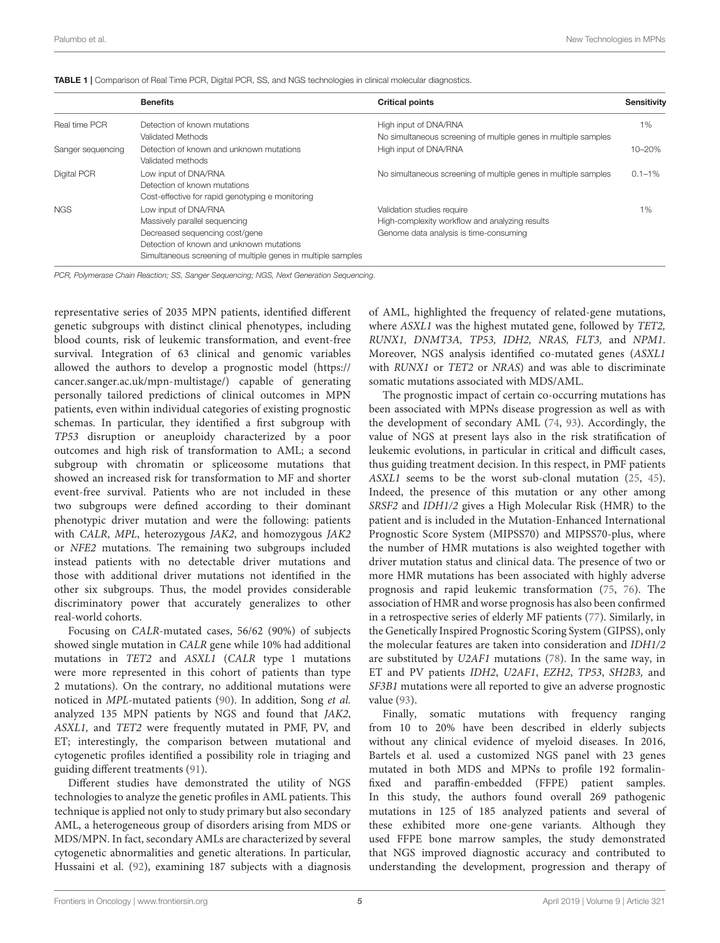<span id="page-4-0"></span>

|  |  |  | TABLE 1   Comparison of Real Time PCR, Digital PCR, SS, and NGS technologies in clinical molecular diagnostics. |  |
|--|--|--|-----------------------------------------------------------------------------------------------------------------|--|
|--|--|--|-----------------------------------------------------------------------------------------------------------------|--|

|                   | <b>Benefits</b>                                                                                                                                                                                     | <b>Critical points</b>                                                                                                 | <b>Sensitivity</b> |
|-------------------|-----------------------------------------------------------------------------------------------------------------------------------------------------------------------------------------------------|------------------------------------------------------------------------------------------------------------------------|--------------------|
| Real time PCR     | Detection of known mutations                                                                                                                                                                        | High input of DNA/RNA                                                                                                  | 1%                 |
|                   | Validated Methods                                                                                                                                                                                   | No simultaneous screening of multiple genes in multiple samples                                                        |                    |
| Sanger sequencing | Detection of known and unknown mutations<br>Validated methods                                                                                                                                       | High input of DNA/RNA                                                                                                  | 10-20%             |
| Digital PCR       | Low input of DNA/RNA<br>Detection of known mutations<br>Cost-effective for rapid genotyping e monitoring                                                                                            | No simultaneous screening of multiple genes in multiple samples                                                        | $0.1 - 1\%$        |
| <b>NGS</b>        | Low input of DNA/RNA<br>Massively parallel sequencing<br>Decreased sequencing cost/gene<br>Detection of known and unknown mutations<br>Simultaneous screening of multiple genes in multiple samples | Validation studies require<br>High-complexity workflow and analyzing results<br>Genome data analysis is time-consuming | 1%                 |

*PCR, Polymerase Chain Reaction; SS, Sanger Sequencing; NGS, Next Generation Sequencing.*

representative series of 2035 MPN patients, identified different genetic subgroups with distinct clinical phenotypes, including blood counts, risk of leukemic transformation, and event-free survival. Integration of 63 clinical and genomic variables allowed the authors to develop a prognostic model [\(https://](https://cancer.sanger.ac.uk/mpn-multistage/) [cancer.sanger.ac.uk/mpn-multistage/\)](https://cancer.sanger.ac.uk/mpn-multistage/) capable of generating personally tailored predictions of clinical outcomes in MPN patients, even within individual categories of existing prognostic schemas. In particular, they identified a first subgroup with TP53 disruption or aneuploidy characterized by a poor outcomes and high risk of transformation to AML; a second subgroup with chromatin or spliceosome mutations that showed an increased risk for transformation to MF and shorter event-free survival. Patients who are not included in these two subgroups were defined according to their dominant phenotypic driver mutation and were the following: patients with CALR, MPL, heterozygous JAK2, and homozygous JAK2 or NFE2 mutations. The remaining two subgroups included instead patients with no detectable driver mutations and those with additional driver mutations not identified in the other six subgroups. Thus, the model provides considerable discriminatory power that accurately generalizes to other real-world cohorts.

Focusing on CALR-mutated cases, 56/62 (90%) of subjects showed single mutation in CALR gene while 10% had additional mutations in TET2 and ASXL1 (CALR type 1 mutations were more represented in this cohort of patients than type 2 mutations). On the contrary, no additional mutations were noticed in MPL-mutated patients [\(90\)](#page-9-1). In addition, Song et al. analyzed 135 MPN patients by NGS and found that JAK2, ASXL1, and TET2 were frequently mutated in PMF, PV, and ET; interestingly, the comparison between mutational and cytogenetic profiles identified a possibility role in triaging and guiding different treatments [\(91\)](#page-9-2).

Different studies have demonstrated the utility of NGS technologies to analyze the genetic profiles in AML patients. This technique is applied not only to study primary but also secondary AML, a heterogeneous group of disorders arising from MDS or MDS/MPN. In fact, secondary AMLs are characterized by several cytogenetic abnormalities and genetic alterations. In particular, Hussaini et al. [\(92\)](#page-9-3), examining 187 subjects with a diagnosis of AML, highlighted the frequency of related-gene mutations, where *ASXL1* was the highest mutated gene, followed by *TET2*, RUNX1, DNMT3A, TP53, IDH2, NRAS, FLT3, and NPM1. Moreover, NGS analysis identified co-mutated genes (ASXL1 with RUNX1 or TET2 or NRAS) and was able to discriminate somatic mutations associated with MDS/AML.

The prognostic impact of certain co-occurring mutations has been associated with MPNs disease progression as well as with the development of secondary AML [\(74,](#page-8-21) [93\)](#page-9-4). Accordingly, the value of NGS at present lays also in the risk stratification of leukemic evolutions, in particular in critical and difficult cases, thus guiding treatment decision. In this respect, in PMF patients ASXL1 seems to be the worst sub-clonal mutation [\(25,](#page-7-5) [45\)](#page-7-21). Indeed, the presence of this mutation or any other among SRSF2 and IDH1/2 gives a High Molecular Risk (HMR) to the patient and is included in the Mutation-Enhanced International Prognostic Score System (MIPSS70) and MIPSS70-plus, where the number of HMR mutations is also weighted together with driver mutation status and clinical data. The presence of two or more HMR mutations has been associated with highly adverse prognosis and rapid leukemic transformation [\(75,](#page-8-22) [76\)](#page-8-23). The association of HMR and worse prognosis has also been confirmed in a retrospective series of elderly MF patients [\(77\)](#page-8-24). Similarly, in the Genetically Inspired Prognostic Scoring System (GIPSS), only the molecular features are taken into consideration and IDH1/2 are substituted by U2AF1 mutations [\(78\)](#page-8-25). In the same way, in ET and PV patients IDH2, U2AF1, EZH2, TP53, SH2B3, and SF3B1 mutations were all reported to give an adverse prognostic value [\(93\)](#page-9-4).

Finally, somatic mutations with frequency ranging from 10 to 20% have been described in elderly subjects without any clinical evidence of myeloid diseases. In 2016, Bartels et al. used a customized NGS panel with 23 genes mutated in both MDS and MPNs to profile 192 formalinfixed and paraffin-embedded (FFPE) patient samples. In this study, the authors found overall 269 pathogenic mutations in 125 of 185 analyzed patients and several of these exhibited more one-gene variants. Although they used FFPE bone marrow samples, the study demonstrated that NGS improved diagnostic accuracy and contributed to understanding the development, progression and therapy of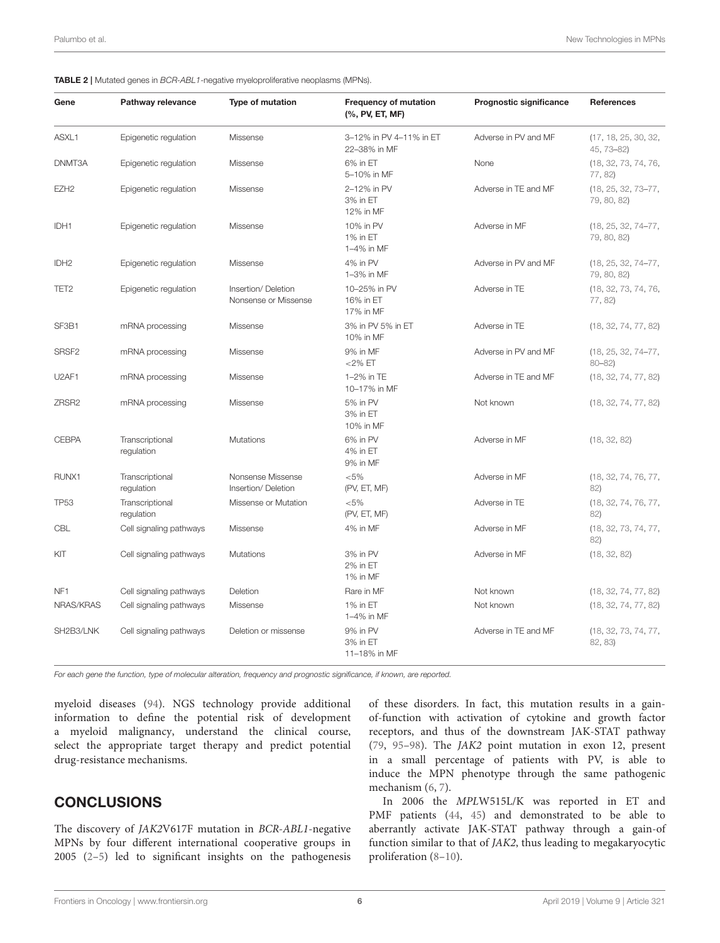<span id="page-5-0"></span>

|  |  | <b>TABLE 2</b>   Mutated genes in <i>BCR-ABL1</i> -negative myeloproliferative neoplasms (MPNs). |  |
|--|--|--------------------------------------------------------------------------------------------------|--|
|--|--|--------------------------------------------------------------------------------------------------|--|

| Gene              | Pathway relevance             | Type of mutation                           | <b>Frequency of mutation</b><br>(%, PV, ET, MF) | Prognostic significance | <b>References</b>                    |
|-------------------|-------------------------------|--------------------------------------------|-------------------------------------------------|-------------------------|--------------------------------------|
| ASXL1             | Epigenetic regulation         | Missense                                   | 3-12% in PV 4-11% in ET<br>22-38% in MF         | Adverse in PV and MF    | (17, 18, 25, 30, 32,<br>45, 73-82)   |
| DNMT3A            | Epigenetic regulation         | Missense                                   | 6% in ET<br>5-10% in MF                         | None                    | (18, 32, 73, 74, 76,<br>77, 82)      |
| EZH <sub>2</sub>  | Epigenetic regulation         | Missense                                   | 2-12% in PV<br>3% in ET<br>12% in MF            | Adverse in TE and MF    | (18, 25, 32, 73-77,<br>79, 80, 82)   |
| IDH1              | Epigenetic regulation         | Missense                                   | 10% in PV<br>1% in ET<br>1-4% in MF             | Adverse in MF           | (18, 25, 32, 74-77,<br>79, 80, 82)   |
| IDH <sub>2</sub>  | Epigenetic regulation         | Missense                                   | 4% in PV<br>1-3% in MF                          | Adverse in PV and MF    | (18, 25, 32, 74-77,<br>79, 80, 82)   |
| TET <sub>2</sub>  | Epigenetic regulation         | Insertion/Deletion<br>Nonsense or Missense | 10-25% in PV<br>16% in ET<br>17% in MF          | Adverse in TE           | (18, 32, 73, 74, 76,<br>77, 82)      |
| SF3B1             | mRNA processing               | Missense                                   | 3% in PV 5% in ET<br>10% in MF                  | Adverse in TE           | (18, 32, 74, 77, 82)                 |
| SRSF <sub>2</sub> | mRNA processing               | Missense                                   | 9% in MF<br>$<$ 2% ET                           | Adverse in PV and MF    | $(18, 25, 32, 74 - 77,$<br>$80 - 82$ |
| U2AF1             | mRNA processing               | Missense                                   | 1-2% in TE<br>10-17% in MF                      | Adverse in TE and MF    | (18, 32, 74, 77, 82)                 |
| ZRSR <sub>2</sub> | mRNA processing               | Missense                                   | 5% in PV<br>3% in ET<br>10% in MF               | Not known               | (18, 32, 74, 77, 82)                 |
| <b>CEBPA</b>      | Transcriptional<br>regulation | <b>Mutations</b>                           | 6% in PV<br>4% in ET<br>9% in MF                | Adverse in MF           | (18, 32, 82)                         |
| RUNX1             | Transcriptional<br>regulation | Nonsense Missense<br>Insertion/Deletion    | $< 5\%$<br>(PV, ET, MF)                         | Adverse in MF           | (18, 32, 74, 76, 77,<br>82)          |
| <b>TP53</b>       | Transcriptional<br>regulation | Missense or Mutation                       | $< 5\%$<br>(PV, ET, MF)                         | Adverse in TE           | (18, 32, 74, 76, 77,<br>82)          |
| CBL               | Cell signaling pathways       | Missense                                   | 4% in MF                                        | Adverse in MF           | (18, 32, 73, 74, 77,<br>82)          |
| KIT               | Cell signaling pathways       | Mutations                                  | 3% in PV<br>2% in ET<br>1% in MF                | Adverse in MF           | (18, 32, 82)                         |
| NF <sub>1</sub>   | Cell signaling pathways       | Deletion                                   | Rare in MF                                      | Not known               | (18, 32, 74, 77, 82)                 |
| NRAS/KRAS         | Cell signaling pathways       | Missense                                   | 1% in ET<br>1-4% in MF                          | Not known               | (18, 32, 74, 77, 82)                 |
| SH2B3/LNK         | Cell signaling pathways       | Deletion or missense                       | 9% in PV<br>3% in ET<br>11-18% in MF            | Adverse in TE and MF    | (18, 32, 73, 74, 77,<br>82, 83)      |

*For each gene the function, type of molecular alteration, frequency and prognostic significance, if known, are reported.*

myeloid diseases [\(94\)](#page-9-5). NGS technology provide additional information to define the potential risk of development a myeloid malignancy, understand the clinical course, select the appropriate target therapy and predict potential drug-resistance mechanisms.

## CONCLUSIONS

The discovery of JAK2V617F mutation in BCR-ABL1-negative MPNs by four different international cooperative groups in 2005 [\(2–](#page-6-1)[5\)](#page-6-2) led to significant insights on the pathogenesis

of these disorders. In fact, this mutation results in a gainof-function with activation of cytokine and growth factor receptors, and thus of the downstream JAK-STAT pathway [\(79,](#page-8-27) [95–](#page-9-6)[98\)](#page-9-7). The JAK2 point mutation in exon 12, present in a small percentage of patients with PV, is able to induce the MPN phenotype through the same pathogenic mechanism [\(6,](#page-6-3) [7\)](#page-6-4).

In 2006 the MPLW515L/K was reported in ET and PMF patients [\(44,](#page-7-20) [45\)](#page-7-21) and demonstrated to be able to aberrantly activate JAK-STAT pathway through a gain-of function similar to that of JAK2, thus leading to megakaryocytic proliferation [\(8](#page-6-5)[–10\)](#page-6-6).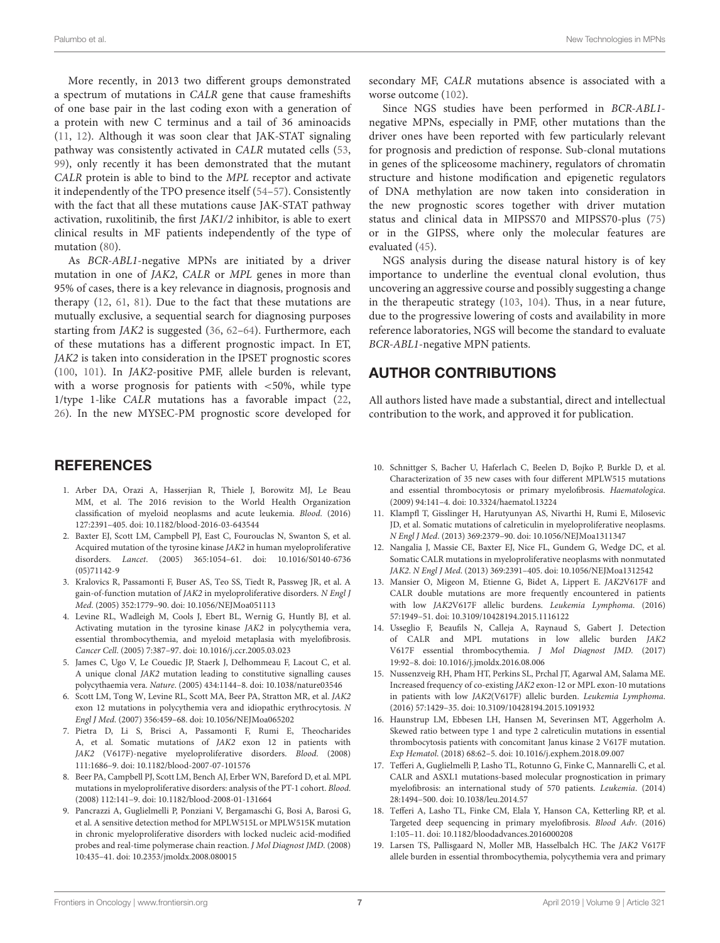More recently, in 2013 two different groups demonstrated a spectrum of mutations in CALR gene that cause frameshifts of one base pair in the last coding exon with a generation of a protein with new C terminus and a tail of 36 aminoacids [\(11,](#page-6-7) [12\)](#page-6-8). Although it was soon clear that JAK-STAT signaling pathway was consistently activated in CALR mutated cells [\(53,](#page-8-0) [99\)](#page-9-8), only recently it has been demonstrated that the mutant CALR protein is able to bind to the MPL receptor and activate it independently of the TPO presence itself [\(54](#page-8-1)[–57\)](#page-8-2). Consistently with the fact that all these mutations cause JAK-STAT pathway activation, ruxolitinib, the first JAK1/2 inhibitor, is able to exert clinical results in MF patients independently of the type of mutation [\(80\)](#page-8-28).

As BCR-ABL1-negative MPNs are initiated by a driver mutation in one of JAK2, CALR or MPL genes in more than 95% of cases, there is a key relevance in diagnosis, prognosis and therapy [\(12,](#page-6-8) [61,](#page-8-6) [81\)](#page-8-29). Due to the fact that these mutations are mutually exclusive, a sequential search for diagnosing purposes starting from JAK2 is suggested [\(36,](#page-7-13) [62](#page-8-7)[–64\)](#page-8-9). Furthermore, each of these mutations has a different prognostic impact. In ET, JAK2 is taken into consideration in the IPSET prognostic scores [\(100,](#page-9-9) [101\)](#page-9-10). In JAK2-positive PMF, allele burden is relevant, with a worse prognosis for patients with  $\langle 50\%,$  while type 1/type 1-like CALR mutations has a favorable impact [\(22,](#page-7-2) [26\)](#page-7-6). In the new MYSEC-PM prognostic score developed for

## **REFERENCES**

- <span id="page-6-0"></span>1. Arber DA, Orazi A, Hasserjian R, Thiele J, Borowitz MJ, Le Beau MM, et al. The 2016 revision to the World Health Organization classification of myeloid neoplasms and acute leukemia. Blood. (2016) 127:2391–405. doi: [10.1182/blood-2016-03-643544](https://doi.org/10.1182/blood-2016-03-643544)
- <span id="page-6-1"></span>2. Baxter EJ, Scott LM, Campbell PJ, East C, Fourouclas N, Swanton S, et al. Acquired mutation of the tyrosine kinase JAK2 in human myeloproliferative disorders. Lancet[. \(2005\) 365:1054–61. doi: 10.1016/S0140-6736](https://doi.org/10.1016/S0140-6736(05)71142-9) (05)71142-9
- 3. Kralovics R, Passamonti F, Buser AS, Teo SS, Tiedt R, Passweg JR, et al. A gain-of-function mutation of JAK2 in myeloproliferative disorders. N Engl J Med. (2005) 352:1779–90. doi: [10.1056/NEJMoa051113](https://doi.org/10.1056/NEJMoa051113)
- 4. Levine RL, Wadleigh M, Cools J, Ebert BL, Wernig G, Huntly BJ, et al. Activating mutation in the tyrosine kinase JAK2 in polycythemia vera, essential thrombocythemia, and myeloid metaplasia with myelofibrosis. Cancer Cell. (2005) 7:387–97. doi: [10.1016/j.ccr.2005.03.023](https://doi.org/10.1016/j.ccr.2005.03.023)
- <span id="page-6-2"></span>5. James C, Ugo V, Le Couedic JP, Staerk J, Delhommeau F, Lacout C, et al. A unique clonal JAK2 mutation leading to constitutive signalling causes polycythaemia vera. Nature. (2005) 434:1144–8. doi: [10.1038/nature03546](https://doi.org/10.1038/nature03546)
- <span id="page-6-3"></span>6. Scott LM, Tong W, Levine RL, Scott MA, Beer PA, Stratton MR, et al. JAK2 exon 12 mutations in polycythemia vera and idiopathic erythrocytosis. N Engl J Med. (2007) 356:459–68. doi: [10.1056/NEJMoa065202](https://doi.org/10.1056/NEJMoa065202)
- <span id="page-6-4"></span>7. Pietra D, Li S, Brisci A, Passamonti F, Rumi E, Theocharides A, et al. Somatic mutations of JAK2 exon 12 in patients with JAK2 (V617F)-negative myeloproliferative disorders. Blood. (2008) 111:1686–9. doi: [10.1182/blood-2007-07-101576](https://doi.org/10.1182/blood-2007-07-101576)
- <span id="page-6-5"></span>8. Beer PA, Campbell PJ, Scott LM, Bench AJ, Erber WN, Bareford D, et al. MPL mutations in myeloproliferative disorders: analysis of the PT-1 cohort. Blood. (2008) 112:141–9. doi: [10.1182/blood-2008-01-131664](https://doi.org/10.1182/blood-2008-01-131664)
- <span id="page-6-14"></span>9. Pancrazzi A, Guglielmelli P, Ponziani V, Bergamaschi G, Bosi A, Barosi G, et al. A sensitive detection method for MPLW515L or MPLW515K mutation in chronic myeloproliferative disorders with locked nucleic acid-modified probes and real-time polymerase chain reaction. J Mol Diagnost JMD. (2008) 10:435–41. doi: [10.2353/jmoldx.2008.080015](https://doi.org/10.2353/jmoldx.2008.080015)

secondary MF, CALR mutations absence is associated with a worse outcome [\(102\)](#page-9-11).

Since NGS studies have been performed in BCR-ABL1 negative MPNs, especially in PMF, other mutations than the driver ones have been reported with few particularly relevant for prognosis and prediction of response. Sub-clonal mutations in genes of the spliceosome machinery, regulators of chromatin structure and histone modification and epigenetic regulators of DNA methylation are now taken into consideration in the new prognostic scores together with driver mutation status and clinical data in MIPSS70 and MIPSS70-plus [\(75\)](#page-8-22) or in the GIPSS, where only the molecular features are evaluated [\(45\)](#page-7-21).

NGS analysis during the disease natural history is of key importance to underline the eventual clonal evolution, thus uncovering an aggressive course and possibly suggesting a change in the therapeutic strategy [\(103,](#page-9-12) [104\)](#page-9-13). Thus, in a near future, due to the progressive lowering of costs and availability in more reference laboratories, NGS will become the standard to evaluate BCR-ABL1-negative MPN patients.

# AUTHOR CONTRIBUTIONS

All authors listed have made a substantial, direct and intellectual contribution to the work, and approved it for publication.

- <span id="page-6-6"></span>10. Schnittger S, Bacher U, Haferlach C, Beelen D, Bojko P, Burkle D, et al. Characterization of 35 new cases with four different MPLW515 mutations and essential thrombocytosis or primary myelofibrosis. Haematologica. (2009) 94:141–4. doi: [10.3324/haematol.13224](https://doi.org/10.3324/haematol.13224)
- <span id="page-6-7"></span>11. Klampfl T, Gisslinger H, Harutyunyan AS, Nivarthi H, Rumi E, Milosevic JD, et al. Somatic mutations of calreticulin in myeloproliferative neoplasms. N Engl J Med. (2013) 369:2379–90. doi: [10.1056/NEJMoa1311347](https://doi.org/10.1056/NEJMoa1311347)
- <span id="page-6-8"></span>12. Nangalia J, Massie CE, Baxter EJ, Nice FL, Gundem G, Wedge DC, et al. Somatic CALR mutations in myeloproliferative neoplasms with nonmutated JAK2. N Engl J Med. (2013) 369:2391–405. doi: [10.1056/NEJMoa1312542](https://doi.org/10.1056/NEJMoa1312542)
- <span id="page-6-9"></span>13. Mansier O, Migeon M, Etienne G, Bidet A, Lippert E. JAK2V617F and CALR double mutations are more frequently encountered in patients with low JAK2V617F allelic burdens. Leukemia Lymphoma. (2016) 57:1949–51. doi: [10.3109/10428194.2015.1116122](https://doi.org/10.3109/10428194.2015.1116122)
- 14. Usseglio F, Beaufils N, Calleja A, Raynaud S, Gabert J. Detection of CALR and MPL mutations in low allelic burden JAK2 V617F essential thrombocythemia. J Mol Diagnost JMD. (2017) 19:92–8. doi: [10.1016/j.jmoldx.2016.08.006](https://doi.org/10.1016/j.jmoldx.2016.08.006)
- 15. Nussenzveig RH, Pham HT, Perkins SL, Prchal JT, Agarwal AM, Salama ME. Increased frequency of co-existing JAK2 exon-12 or MPL exon-10 mutations in patients with low JAK2(V617F) allelic burden. Leukemia Lymphoma. (2016) 57:1429–35. doi: [10.3109/10428194.2015.1091932](https://doi.org/10.3109/10428194.2015.1091932)
- <span id="page-6-10"></span>16. Haunstrup LM, Ebbesen LH, Hansen M, Severinsen MT, Aggerholm A. Skewed ratio between type 1 and type 2 calreticulin mutations in essential thrombocytosis patients with concomitant Janus kinase 2 V617F mutation. Exp Hematol. (2018) 68:62–5. doi: [10.1016/j.exphem.2018.09.007](https://doi.org/10.1016/j.exphem.2018.09.007)
- <span id="page-6-11"></span>17. Tefferi A, Guglielmelli P, Lasho TL, Rotunno G, Finke C, Mannarelli C, et al. CALR and ASXL1 mutations-based molecular prognostication in primary myelofibrosis: an international study of 570 patients. Leukemia. (2014) 28:1494–500. doi: [10.1038/leu.2014.57](https://doi.org/10.1038/leu.2014.57)
- <span id="page-6-12"></span>18. Tefferi A, Lasho TL, Finke CM, Elala Y, Hanson CA, Ketterling RP, et al. Targeted deep sequencing in primary myelofibrosis. Blood Adv. (2016) 1:105–11. doi: [10.1182/bloodadvances.2016000208](https://doi.org/10.1182/bloodadvances.2016000208)
- <span id="page-6-13"></span>19. Larsen TS, Pallisgaard N, Moller MB, Hasselbalch HC. The JAK2 V617F allele burden in essential thrombocythemia, polycythemia vera and primary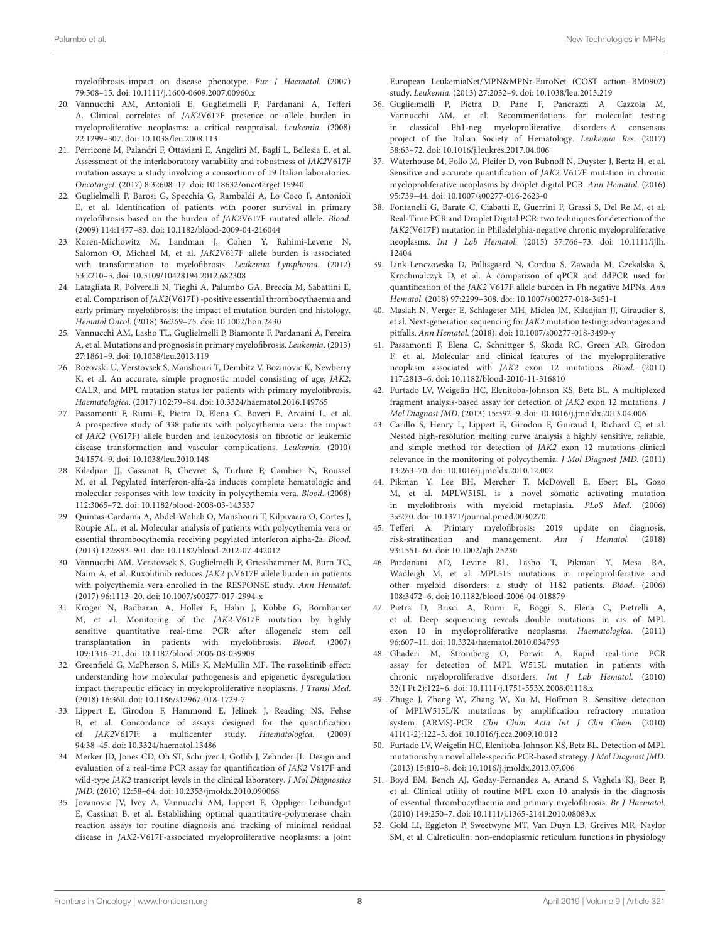myelofibrosis–impact on disease phenotype. Eur J Haematol. (2007) 79:508–15. doi: [10.1111/j.1600-0609.2007.00960.x](https://doi.org/10.1111/j.1600-0609.2007.00960.x)

- <span id="page-7-1"></span>20. Vannucchi AM, Antonioli E, Guglielmelli P, Pardanani A, Tefferi A. Clinical correlates of JAK2V617F presence or allele burden in myeloproliferative neoplasms: a critical reappraisal. Leukemia. (2008) 22:1299–307. doi: [10.1038/leu.2008.113](https://doi.org/10.1038/leu.2008.113)
- <span id="page-7-0"></span>21. Perricone M, Palandri F, Ottaviani E, Angelini M, Bagli L, Bellesia E, et al. Assessment of the interlaboratory variability and robustness of JAK2V617F mutation assays: a study involving a consortium of 19 Italian laboratories. Oncotarget. (2017) 8:32608–17. doi: [10.18632/oncotarget.15940](https://doi.org/10.18632/oncotarget.15940)
- <span id="page-7-2"></span>22. Guglielmelli P, Barosi G, Specchia G, Rambaldi A, Lo Coco F, Antonioli E, et al. Identification of patients with poorer survival in primary myelofibrosis based on the burden of JAK2V617F mutated allele. Blood. (2009) 114:1477–83. doi: [10.1182/blood-2009-04-216044](https://doi.org/10.1182/blood-2009-04-216044)
- <span id="page-7-3"></span>23. Koren-Michowitz M, Landman J, Cohen Y, Rahimi-Levene N, Salomon O, Michael M, et al. JAK2V617F allele burden is associated with transformation to myelofibrosis. Leukemia Lymphoma. (2012) 53:2210–3. doi: [10.3109/10428194.2012.682308](https://doi.org/10.3109/10428194.2012.682308)
- <span id="page-7-4"></span>24. Latagliata R, Polverelli N, Tieghi A, Palumbo GA, Breccia M, Sabattini E, et al. Comparison of JAK2(V617F) -positive essential thrombocythaemia and early primary myelofibrosis: the impact of mutation burden and histology. Hematol Oncol. (2018) 36:269–75. doi: [10.1002/hon.2430](https://doi.org/10.1002/hon.2430)
- <span id="page-7-5"></span>25. Vannucchi AM, Lasho TL, Guglielmelli P, Biamonte F, Pardanani A, Pereira A, et al. Mutations and prognosis in primary myelofibrosis. Leukemia. (2013) 27:1861–9. doi: [10.1038/leu.2013.119](https://doi.org/10.1038/leu.2013.119)
- <span id="page-7-6"></span>26. Rozovski U, Verstovsek S, Manshouri T, Dembitz V, Bozinovic K, Newberry K, et al. An accurate, simple prognostic model consisting of age, JAK2, CALR, and MPL mutation status for patients with primary myelofibrosis. Haematologica. (2017) 102:79–84. doi: [10.3324/haematol.2016.149765](https://doi.org/10.3324/haematol.2016.149765)
- <span id="page-7-7"></span>27. Passamonti F, Rumi E, Pietra D, Elena C, Boveri E, Arcaini L, et al. A prospective study of 338 patients with polycythemia vera: the impact of JAK2 (V617F) allele burden and leukocytosis on fibrotic or leukemic disease transformation and vascular complications. Leukemia. (2010) 24:1574–9. doi: [10.1038/leu.2010.148](https://doi.org/10.1038/leu.2010.148)
- <span id="page-7-8"></span>28. Kiladjian JJ, Cassinat B, Chevret S, Turlure P, Cambier N, Roussel M, et al. Pegylated interferon-alfa-2a induces complete hematologic and molecular responses with low toxicity in polycythemia vera. Blood. (2008) 112:3065–72. doi: [10.1182/blood-2008-03-143537](https://doi.org/10.1182/blood-2008-03-143537)
- 29. Quintas-Cardama A, Abdel-Wahab O, Manshouri T, Kilpivaara O, Cortes J, Roupie AL, et al. Molecular analysis of patients with polycythemia vera or essential thrombocythemia receiving pegylated interferon alpha-2a. Blood. (2013) 122:893–901. doi: [10.1182/blood-2012-07-442012](https://doi.org/10.1182/blood-2012-07-442012)
- <span id="page-7-9"></span>30. Vannucchi AM, Verstovsek S, Guglielmelli P, Griesshammer M, Burn TC, Naim A, et al. Ruxolitinib reduces JAK2 p.V617F allele burden in patients with polycythemia vera enrolled in the RESPONSE study. Ann Hematol. (2017) 96:1113–20. doi: [10.1007/s00277-017-2994-x](https://doi.org/10.1007/s00277-017-2994-x)
- <span id="page-7-10"></span>31. Kroger N, Badbaran A, Holler E, Hahn J, Kobbe G, Bornhauser M, et al. Monitoring of the JAK2-V617F mutation by highly sensitive quantitative real-time PCR after allogeneic stem cell transplantation in patients with myelofibrosis. Blood. (2007) 109:1316–21. doi: [10.1182/blood-2006-08-039909](https://doi.org/10.1182/blood-2006-08-039909)
- <span id="page-7-11"></span>32. Greenfield G, McPherson S, Mills K, McMullin MF. The ruxolitinib effect: understanding how molecular pathogenesis and epigenetic dysregulation impact therapeutic efficacy in myeloproliferative neoplasms. J Transl Med. (2018) 16:360. doi: [10.1186/s12967-018-1729-7](https://doi.org/10.1186/s12967-018-1729-7)
- <span id="page-7-12"></span>33. Lippert E, Girodon F, Hammond E, Jelinek J, Reading NS, Fehse B, et al. Concordance of assays designed for the quantification of JAK2V617F: a multicenter study. Haematologica. (2009) 94:38–45. doi: [10.3324/haematol.13486](https://doi.org/10.3324/haematol.13486)
- 34. Merker JD, Jones CD, Oh ST, Schrijver I, Gotlib J, Zehnder JL. Design and evaluation of a real-time PCR assay for quantification of JAK2 V617F and wild-type JAK2 transcript levels in the clinical laboratory. J Mol Diagnostics JMD. (2010) 12:58–64. doi: [10.2353/jmoldx.2010.090068](https://doi.org/10.2353/jmoldx.2010.090068)
- 35. Jovanovic JV, Ivey A, Vannucchi AM, Lippert E, Oppliger Leibundgut E, Cassinat B, et al. Establishing optimal quantitative-polymerase chain reaction assays for routine diagnosis and tracking of minimal residual disease in JAK2-V617F-associated myeloproliferative neoplasms: a joint

European LeukemiaNet/MPN&MPNr-EuroNet (COST action BM0902) study. Leukemia. (2013) 27:2032–9. doi: [10.1038/leu.2013.219](https://doi.org/10.1038/leu.2013.219)

- <span id="page-7-13"></span>36. Guglielmelli P, Pietra D, Pane F, Pancrazzi A, Cazzola M, Vannucchi AM, et al. Recommendations for molecular testing in classical Ph1-neg myeloproliferative disorders-A consensus project of the Italian Society of Hematology. Leukemia Res. (2017) 58:63–72. doi: [10.1016/j.leukres.2017.04.006](https://doi.org/10.1016/j.leukres.2017.04.006)
- <span id="page-7-14"></span>37. Waterhouse M, Follo M, Pfeifer D, von Bubnoff N, Duyster J, Bertz H, et al. Sensitive and accurate quantification of JAK2 V617F mutation in chronic myeloproliferative neoplasms by droplet digital PCR. Ann Hematol. (2016) 95:739–44. doi: [10.1007/s00277-016-2623-0](https://doi.org/10.1007/s00277-016-2623-0)
- 38. Fontanelli G, Barate C, Ciabatti E, Guerrini F, Grassi S, Del Re M, et al. Real-Time PCR and Droplet Digital PCR: two techniques for detection of the JAK2(V617F) mutation in Philadelphia-negative chronic myeloproliferative neoplasms. Int J Lab Hematol[. \(2015\) 37:766–73. doi: 10.1111/ijlh.](https://doi.org/10.1111/ijlh.12404) 12404
- <span id="page-7-15"></span>39. Link-Lenczowska D, Pallisgaard N, Cordua S, Zawada M, Czekalska S, Krochmalczyk D, et al. A comparison of qPCR and ddPCR used for quantification of the JAK2 V617F allele burden in Ph negative MPNs. Ann Hematol. (2018) 97:2299–308. doi: [10.1007/s00277-018-3451-1](https://doi.org/10.1007/s00277-018-3451-1)
- <span id="page-7-16"></span>40. Maslah N, Verger E, Schlageter MH, Miclea JM, Kiladjian JJ, Giraudier S, et al. Next-generation sequencing for JAK2 mutation testing: advantages and pitfalls. Ann Hematol. (2018). doi: [10.1007/s00277-018-3499-y](https://doi.org/10.1007/s00277-018-3499-y)
- <span id="page-7-17"></span>41. Passamonti F, Elena C, Schnittger S, Skoda RC, Green AR, Girodon F, et al. Molecular and clinical features of the myeloproliferative neoplasm associated with JAK2 exon 12 mutations. Blood. (2011) 117:2813–6. doi: [10.1182/blood-2010-11-316810](https://doi.org/10.1182/blood-2010-11-316810)
- <span id="page-7-18"></span>42. Furtado LV, Weigelin HC, Elenitoba-Johnson KS, Betz BL. A multiplexed fragment analysis-based assay for detection of JAK2 exon 12 mutations. J Mol Diagnost JMD. (2013) 15:592–9. doi: [10.1016/j.jmoldx.2013.04.006](https://doi.org/10.1016/j.jmoldx.2013.04.006)
- <span id="page-7-19"></span>43. Carillo S, Henry L, Lippert E, Girodon F, Guiraud I, Richard C, et al. Nested high-resolution melting curve analysis a highly sensitive, reliable, and simple method for detection of JAK2 exon 12 mutations–clinical relevance in the monitoring of polycythemia. J Mol Diagnost JMD. (2011) 13:263–70. doi: [10.1016/j.jmoldx.2010.12.002](https://doi.org/10.1016/j.jmoldx.2010.12.002)
- <span id="page-7-20"></span>44. Pikman Y, Lee BH, Mercher T, McDowell E, Ebert BL, Gozo M, et al. MPLW515L is a novel somatic activating mutation in myelofibrosis with myeloid metaplasia. PLoS Med. (2006) 3:e270. doi: [10.1371/journal.pmed.0030270](https://doi.org/10.1371/journal.pmed.0030270)
- <span id="page-7-21"></span>45. Tefferi A. Primary myelofibrosis: 2019 update on diagnosis, risk-stratification and management. Am J Hematol. (2018) 93:1551–60. doi: [10.1002/ajh.25230](https://doi.org/10.1002/ajh.25230)
- <span id="page-7-22"></span>46. Pardanani AD, Levine RL, Lasho T, Pikman Y, Mesa RA, Wadleigh M, et al. MPL515 mutations in myeloproliferative and other myeloid disorders: a study of 1182 patients. Blood. (2006) 108:3472–6. doi: [10.1182/blood-2006-04-018879](https://doi.org/10.1182/blood-2006-04-018879)
- <span id="page-7-23"></span>47. Pietra D, Brisci A, Rumi E, Boggi S, Elena C, Pietrelli A, et al. Deep sequencing reveals double mutations in cis of MPL exon 10 in myeloproliferative neoplasms. Haematologica. (2011) 96:607–11. doi: [10.3324/haematol.2010.034793](https://doi.org/10.3324/haematol.2010.034793)
- 48. Ghaderi M, Stromberg O, Porwit A. Rapid real-time PCR assay for detection of MPL W515L mutation in patients with chronic myeloproliferative disorders. Int J Lab Hematol. (2010) 32(1 Pt 2):122–6. doi: [10.1111/j.1751-553X.2008.01118.x](https://doi.org/10.1111/j.1751-553X.2008.01118.x)
- <span id="page-7-24"></span>49. Zhuge J, Zhang W, Zhang W, Xu M, Hoffman R. Sensitive detection of MPLW515L/K mutations by amplification refractory mutation system (ARMS)-PCR. Clin Chim Acta Int J Clin Chem. (2010) 411(1-2):122–3. doi: [10.1016/j.cca.2009.10.012](https://doi.org/10.1016/j.cca.2009.10.012)
- <span id="page-7-25"></span>50. Furtado LV, Weigelin HC, Elenitoba-Johnson KS, Betz BL. Detection of MPL mutations by a novel allele-specific PCR-based strategy. J Mol Diagnost JMD. (2013) 15:810–8. doi: [10.1016/j.jmoldx.2013.07.006](https://doi.org/10.1016/j.jmoldx.2013.07.006)
- <span id="page-7-26"></span>51. Boyd EM, Bench AJ, Goday-Fernandez A, Anand S, Vaghela KJ, Beer P, et al. Clinical utility of routine MPL exon 10 analysis in the diagnosis of essential thrombocythaemia and primary myelofibrosis. Br J Haematol. (2010) 149:250–7. doi: [10.1111/j.1365-2141.2010.08083.x](https://doi.org/10.1111/j.1365-2141.2010.08083.x)
- <span id="page-7-27"></span>52. Gold LI, Eggleton P, Sweetwyne MT, Van Duyn LB, Greives MR, Naylor SM, et al. Calreticulin: non-endoplasmic reticulum functions in physiology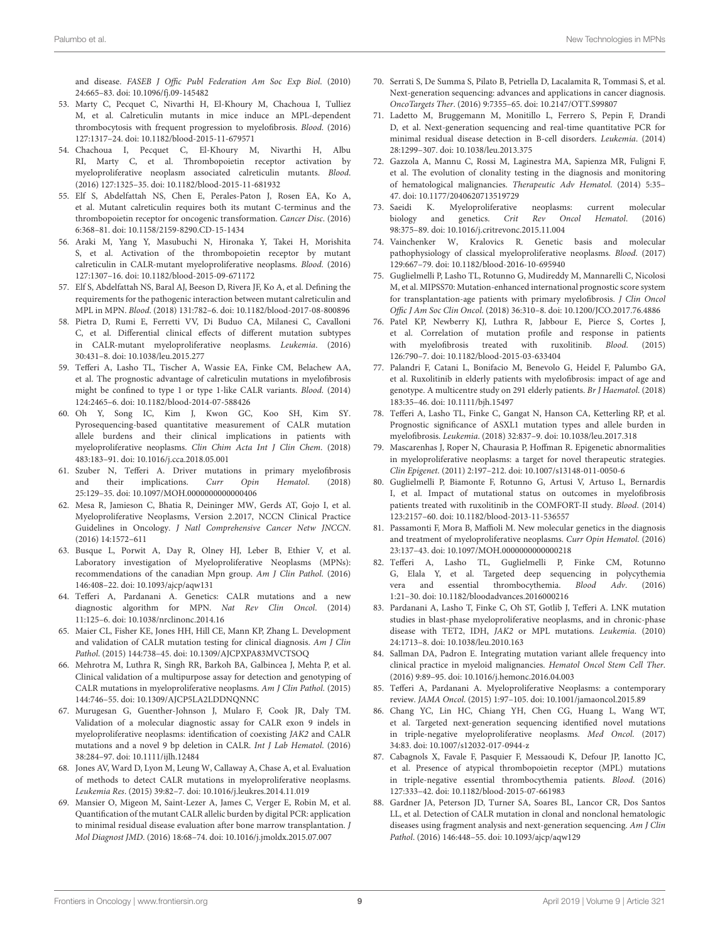and disease. FASEB J Offic Publ Federation Am Soc Exp Biol. (2010) 24:665–83. doi: [10.1096/fj.09-145482](https://doi.org/10.1096/fj.09-145482)

- <span id="page-8-0"></span>53. Marty C, Pecquet C, Nivarthi H, El-Khoury M, Chachoua I, Tulliez M, et al. Calreticulin mutants in mice induce an MPL-dependent thrombocytosis with frequent progression to myelofibrosis. Blood. (2016) 127:1317–24. doi: [10.1182/blood-2015-11-679571](https://doi.org/10.1182/blood-2015-11-679571)
- <span id="page-8-1"></span>54. Chachoua I, Pecquet C, El-Khoury M, Nivarthi H, Albu RI, Marty C, et al. Thrombopoietin receptor activation by myeloproliferative neoplasm associated calreticulin mutants. Blood. (2016) 127:1325–35. doi: [10.1182/blood-2015-11-681932](https://doi.org/10.1182/blood-2015-11-681932)
- 55. Elf S, Abdelfattah NS, Chen E, Perales-Paton J, Rosen EA, Ko A, et al. Mutant calreticulin requires both its mutant C-terminus and the thrombopoietin receptor for oncogenic transformation. Cancer Disc. (2016) 6:368–81. doi: [10.1158/2159-8290.CD-15-1434](https://doi.org/10.1158/2159-8290.CD-15-1434)
- 56. Araki M, Yang Y, Masubuchi N, Hironaka Y, Takei H, Morishita S, et al. Activation of the thrombopoietin receptor by mutant calreticulin in CALR-mutant myeloproliferative neoplasms. Blood. (2016) 127:1307–16. doi: [10.1182/blood-2015-09-671172](https://doi.org/10.1182/blood-2015-09-671172)
- <span id="page-8-2"></span>57. Elf S, Abdelfattah NS, Baral AJ, Beeson D, Rivera JF, Ko A, et al. Defining the requirements for the pathogenic interaction between mutant calreticulin and MPL in MPN. Blood. (2018) 131:782–6. doi: [10.1182/blood-2017-08-800896](https://doi.org/10.1182/blood-2017-08-800896)
- <span id="page-8-3"></span>58. Pietra D, Rumi E, Ferretti VV, Di Buduo CA, Milanesi C, Cavalloni C, et al. Differential clinical effects of different mutation subtypes in CALR-mutant myeloproliferative neoplasms. Leukemia. (2016) 30:431–8. doi: [10.1038/leu.2015.277](https://doi.org/10.1038/leu.2015.277)
- <span id="page-8-4"></span>59. Tefferi A, Lasho TL, Tischer A, Wassie EA, Finke CM, Belachew AA, et al. The prognostic advantage of calreticulin mutations in myelofibrosis might be confined to type 1 or type 1-like CALR variants. Blood. (2014) 124:2465–6. doi: [10.1182/blood-2014-07-588426](https://doi.org/10.1182/blood-2014-07-588426)
- <span id="page-8-5"></span>60. Oh Y, Song IC, Kim J, Kwon GC, Koo SH, Kim SY. Pyrosequencing-based quantitative measurement of CALR mutation allele burdens and their clinical implications in patients with myeloproliferative neoplasms. Clin Chim Acta Int J Clin Chem. (2018) 483:183–91. doi: [10.1016/j.cca.2018.05.001](https://doi.org/10.1016/j.cca.2018.05.001)
- <span id="page-8-6"></span>61. Szuber N, Tefferi A. Driver mutations in primary myelofibrosis and their implications. Curr Opin Hematol. (2018) 25:129–35. doi: [10.1097/MOH.0000000000000406](https://doi.org/10.1097/MOH.0000000000000406)
- <span id="page-8-7"></span>62. Mesa R, Jamieson C, Bhatia R, Deininger MW, Gerds AT, Gojo I, et al. Myeloproliferative Neoplasms, Version 2.2017, NCCN Clinical Practice Guidelines in Oncology. J Natl Comprehensive Cancer Netw JNCCN. (2016) 14:1572–611
- <span id="page-8-8"></span>63. Busque L, Porwit A, Day R, Olney HJ, Leber B, Ethier V, et al. Laboratory investigation of Myeloproliferative Neoplasms (MPNs): recommendations of the canadian Mpn group. Am J Clin Pathol. (2016) 146:408–22. doi: [10.1093/ajcp/aqw131](https://doi.org/10.1093/ajcp/aqw131)
- <span id="page-8-9"></span>64. Tefferi A, Pardanani A. Genetics: CALR mutations and a new diagnostic algorithm for MPN. Nat Rev Clin Oncol. (2014) 11:125–6. doi: [10.1038/nrclinonc.2014.16](https://doi.org/10.1038/nrclinonc.2014.16)
- 65. Maier CL, Fisher KE, Jones HH, Hill CE, Mann KP, Zhang L. Development and validation of CALR mutation testing for clinical diagnosis. Am J Clin Pathol. (2015) 144:738–45. doi: [10.1309/AJCPXPA83MVCTSOQ](https://doi.org/10.1309/AJCPXPA83MVCTSOQ)
- 66. Mehrotra M, Luthra R, Singh RR, Barkoh BA, Galbincea J, Mehta P, et al. Clinical validation of a multipurpose assay for detection and genotyping of CALR mutations in myeloproliferative neoplasms. Am J Clin Pathol. (2015) 144:746–55. doi: [10.1309/AJCP5LA2LDDNQNNC](https://doi.org/10.1309/AJCP5LA2LDDNQNNC)
- 67. Murugesan G, Guenther-Johnson J, Mularo F, Cook JR, Daly TM. Validation of a molecular diagnostic assay for CALR exon 9 indels in myeloproliferative neoplasms: identification of coexisting JAK2 and CALR mutations and a novel 9 bp deletion in CALR. Int J Lab Hematol. (2016) 38:284–97. doi: [10.1111/ijlh.12484](https://doi.org/10.1111/ijlh.12484)
- 68. Jones AV, Ward D, Lyon M, Leung W, Callaway A, Chase A, et al. Evaluation of methods to detect CALR mutations in myeloproliferative neoplasms. Leukemia Res. (2015) 39:82–7. doi: [10.1016/j.leukres.2014.11.019](https://doi.org/10.1016/j.leukres.2014.11.019)
- <span id="page-8-10"></span>69. Mansier O, Migeon M, Saint-Lezer A, James C, Verger E, Robin M, et al. Quantification of the mutant CALR allelic burden by digital PCR: application to minimal residual disease evaluation after bone marrow transplantation. J Mol Diagnost JMD. (2016) 18:68–74. doi: [10.1016/j.jmoldx.2015.07.007](https://doi.org/10.1016/j.jmoldx.2015.07.007)
- <span id="page-8-11"></span>70. Serrati S, De Summa S, Pilato B, Petriella D, Lacalamita R, Tommasi S, et al. Next-generation sequencing: advances and applications in cancer diagnosis. OncoTargets Ther. (2016) 9:7355–65. doi: [10.2147/OTT.S99807](https://doi.org/10.2147/OTT.S99807)
- <span id="page-8-12"></span>71. Ladetto M, Bruggemann M, Monitillo L, Ferrero S, Pepin F, Drandi D, et al. Next-generation sequencing and real-time quantitative PCR for minimal residual disease detection in B-cell disorders. Leukemia. (2014) 28:1299–307. doi: [10.1038/leu.2013.375](https://doi.org/10.1038/leu.2013.375)
- <span id="page-8-13"></span>72. Gazzola A, Mannu C, Rossi M, Laginestra MA, Sapienza MR, Fuligni F, et al. The evolution of clonality testing in the diagnosis and monitoring of hematological malignancies. Therapeutic Adv Hematol. (2014) 5:35– 47. doi: [10.1177/2040620713519729](https://doi.org/10.1177/2040620713519729)
- <span id="page-8-14"></span>73. Saeidi K. Myeloproliferative neoplasms: current molecular biology and genetics. Crit Rev Oncol Hematol. (2016) 98:375–89. doi: [10.1016/j.critrevonc.2015.11.004](https://doi.org/10.1016/j.critrevonc.2015.11.004)
- <span id="page-8-21"></span>74. Vainchenker W, Kralovics R. Genetic basis and molecular pathophysiology of classical myeloproliferative neoplasms. Blood. (2017) 129:667–79. doi: [10.1182/blood-2016-10-695940](https://doi.org/10.1182/blood-2016-10-695940)
- <span id="page-8-22"></span>75. Guglielmelli P, Lasho TL, Rotunno G, Mudireddy M, Mannarelli C, Nicolosi M, et al. MIPSS70: Mutation-enhanced international prognostic score system for transplantation-age patients with primary myelofibrosis. J Clin Oncol Offic J Am Soc Clin Oncol. (2018) 36:310–8. doi: [10.1200/JCO.2017.76.4886](https://doi.org/10.1200/JCO.2017.76.4886)
- <span id="page-8-23"></span>76. Patel KP, Newberry KJ, Luthra R, Jabbour E, Pierce S, Cortes J, et al. Correlation of mutation profile and response in patients with myelofibrosis treated with ruxolitinib. Blood. (2015) 126:790–7. doi: [10.1182/blood-2015-03-633404](https://doi.org/10.1182/blood-2015-03-633404)
- <span id="page-8-24"></span>77. Palandri F, Catani L, Bonifacio M, Benevolo G, Heidel F, Palumbo GA, et al. Ruxolitinib in elderly patients with myelofibrosis: impact of age and genotype. A multicentre study on 291 elderly patients. Br J Haematol. (2018) 183:35–46. doi: [10.1111/bjh.15497](https://doi.org/10.1111/bjh.15497)
- <span id="page-8-25"></span>78. Tefferi A, Lasho TL, Finke C, Gangat N, Hanson CA, Ketterling RP, et al. Prognostic significance of ASXL1 mutation types and allele burden in myelofibrosis. Leukemia. (2018) 32:837–9. doi: [10.1038/leu.2017.318](https://doi.org/10.1038/leu.2017.318)
- <span id="page-8-27"></span>79. Mascarenhas J, Roper N, Chaurasia P, Hoffman R. Epigenetic abnormalities in myeloproliferative neoplasms: a target for novel therapeutic strategies. Clin Epigenet. (2011) 2:197–212. doi: [10.1007/s13148-011-0050-6](https://doi.org/10.1007/s13148-011-0050-6)
- <span id="page-8-28"></span>80. Guglielmelli P, Biamonte F, Rotunno G, Artusi V, Artuso L, Bernardis I, et al. Impact of mutational status on outcomes in myelofibrosis patients treated with ruxolitinib in the COMFORT-II study. Blood. (2014) 123:2157–60. doi: [10.1182/blood-2013-11-536557](https://doi.org/10.1182/blood-2013-11-536557)
- <span id="page-8-29"></span>81. Passamonti F, Mora B, Maffioli M. New molecular genetics in the diagnosis and treatment of myeloproliferative neoplasms. Curr Opin Hematol. (2016) 23:137–43. doi: [10.1097/MOH.0000000000000218](https://doi.org/10.1097/MOH.0000000000000218)
- <span id="page-8-26"></span>82. Tefferi A, Lasho TL, Guglielmelli P, Finke CM, Rotunno G, Elala Y, et al. Targeted deep sequencing in polycythemia vera and essential thrombocythemia. Blood Adv. (2016) 1:21–30. doi: [10.1182/bloodadvances.2016000216](https://doi.org/10.1182/bloodadvances.2016000216~)
- <span id="page-8-16"></span>83. Pardanani A, Lasho T, Finke C, Oh ST, Gotlib J, Tefferi A. LNK mutation studies in blast-phase myeloproliferative neoplasms, and in chronic-phase disease with TET2, IDH, JAK2 or MPL mutations. Leukemia. (2010) 24:1713–8. doi: [10.1038/leu.2010.163](https://doi.org/10.1038/leu.2010.163)
- <span id="page-8-15"></span>84. Sallman DA, Padron E. Integrating mutation variant allele frequency into clinical practice in myeloid malignancies. Hematol Oncol Stem Cell Ther. (2016) 9:89–95. doi: [10.1016/j.hemonc.2016.04.003](https://doi.org/10.1016/j.hemonc.2016.04.003)
- <span id="page-8-17"></span>85. Tefferi A, Pardanani A. Myeloproliferative Neoplasms: a contemporary review. JAMA Oncol. (2015) 1:97–105. doi: [10.1001/jamaoncol.2015.89](https://doi.org/10.1001/jamaoncol.2015.89)
- <span id="page-8-18"></span>86. Chang YC, Lin HC, Chiang YH, Chen CG, Huang L, Wang WT, et al. Targeted next-generation sequencing identified novel mutations in triple-negative myeloproliferative neoplasms. Med Oncol. (2017) 34:83. doi: [10.1007/s12032-017-0944-z](https://doi.org/10.1007/s12032-017-0944-z)
- <span id="page-8-19"></span>87. Cabagnols X, Favale F, Pasquier F, Messaoudi K, Defour JP, Ianotto JC, et al. Presence of atypical thrombopoietin receptor (MPL) mutations in triple-negative essential thrombocythemia patients. Blood. (2016) 127:333–42. doi: [10.1182/blood-2015-07-661983](https://doi.org/10.1182/blood-2015-07-661983)
- <span id="page-8-20"></span>88. Gardner JA, Peterson JD, Turner SA, Soares BL, Lancor CR, Dos Santos LL, et al. Detection of CALR mutation in clonal and nonclonal hematologic diseases using fragment analysis and next-generation sequencing. Am J Clin Pathol. (2016) 146:448–55. doi: [10.1093/ajcp/aqw129](https://doi.org/10.1093/ajcp/aqw129)